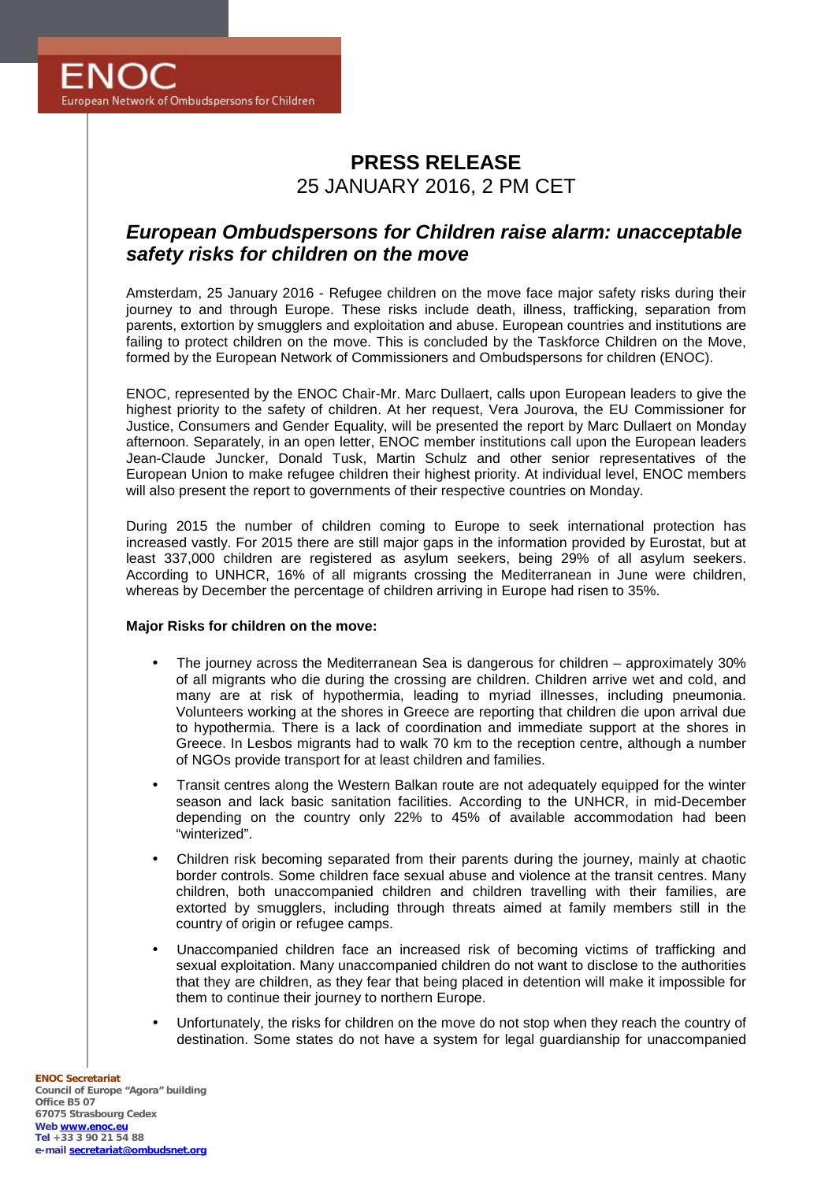# **PRESS RELEASE** 25 JANUARY 2016, 2 PM CET

# *European Ombudspersons for Children raise alarm: unacceptable safety risks for children on the move*

Amsterdam, 25 January 2016 - Refugee children on the move face major safety risks during their journey to and through Europe. These risks include death, illness, trafficking, separation from parents, extortion by smugglers and exploitation and abuse. European countries and institutions are failing to protect children on the move. This is concluded by the Taskforce Children on the Move, formed by the European Network of Commissioners and Ombudspersons for children (ENOC).

ENOC, represented by the ENOC Chair-Mr. Marc Dullaert, calls upon European leaders to give the highest priority to the safety of children. At her request, Vera Jourova, the EU Commissioner for Justice, Consumers and Gender Equality, will be presented the report by Marc Dullaert on Monday afternoon. Separately, in an open letter, ENOC member institutions call upon the European leaders Jean-Claude Juncker, Donald Tusk, Martin Schulz and other senior representatives of the European Union to make refugee children their highest priority. At individual level, ENOC members will also present the report to governments of their respective countries on Monday.

During 2015 the number of children coming to Europe to seek international protection has increased vastly. For 2015 there are still major gaps in the information provided by Eurostat, but at least 337,000 children are registered as asylum seekers, being 29% of all asylum seekers. According to UNHCR, 16% of all migrants crossing the Mediterranean in June were children, whereas by December the percentage of children arriving in Europe had risen to 35%.

#### **Major Risks for children on the move:**

- The journey across the Mediterranean Sea is dangerous for children approximately 30% of all migrants who die during the crossing are children. Children arrive wet and cold, and many are at risk of hypothermia, leading to myriad illnesses, including pneumonia. Volunteers working at the shores in Greece are reporting that children die upon arrival due to hypothermia. There is a lack of coordination and immediate support at the shores in Greece. In Lesbos migrants had to walk 70 km to the reception centre, although a number of NGOs provide transport for at least children and families.
- Transit centres along the Western Balkan route are not adequately equipped for the winter season and lack basic sanitation facilities. According to the UNHCR, in mid-December depending on the country only 22% to 45% of available accommodation had been "winterized".
- Children risk becoming separated from their parents during the journey, mainly at chaotic border controls. Some children face sexual abuse and violence at the transit centres. Many children, both unaccompanied children and children travelling with their families, are extorted by smugglers, including through threats aimed at family members still in the country of origin or refugee camps.
- Unaccompanied children face an increased risk of becoming victims of trafficking and sexual exploitation. Many unaccompanied children do not want to disclose to the authorities that they are children, as they fear that being placed in detention will make it impossible for them to continue their journey to northern Europe.
- Unfortunately, the risks for children on the move do not stop when they reach the country of destination. Some states do not have a system for legal guardianship for unaccompanied

**ENOC Secretariat Council of Europe "Agora" building Office B5 07 67075 Strasbourg Cedex Web www.enoc.eu Tel +33 3 90 21 54 88 e-mail secretariat@ombudsnet.org**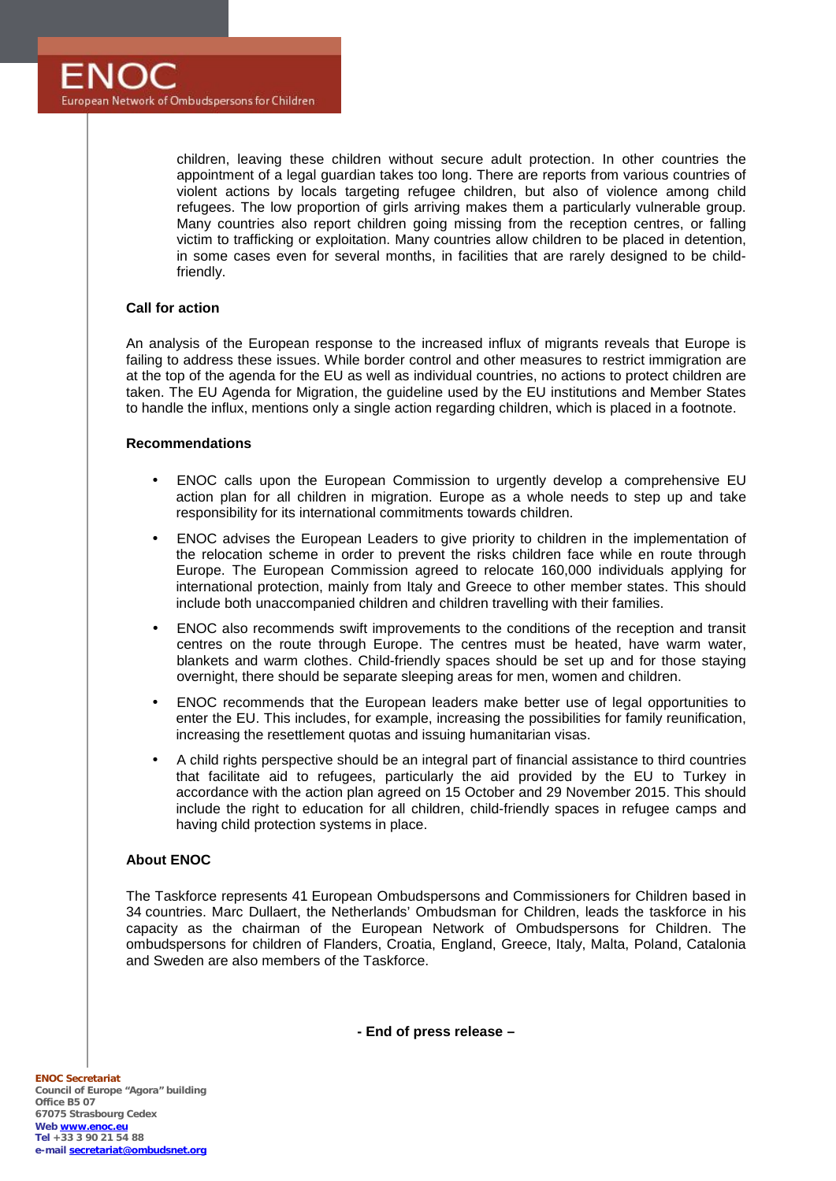children, leaving these children without secure adult protection. In other countries the appointment of a legal guardian takes too long. There are reports from various countries of violent actions by locals targeting refugee children, but also of violence among child refugees. The low proportion of girls arriving makes them a particularly vulnerable group. Many countries also report children going missing from the reception centres, or falling victim to trafficking or exploitation. Many countries allow children to be placed in detention, in some cases even for several months, in facilities that are rarely designed to be childfriendly.

### **Call for action**

An analysis of the European response to the increased influx of migrants reveals that Europe is failing to address these issues. While border control and other measures to restrict immigration are at the top of the agenda for the EU as well as individual countries, no actions to protect children are taken. The EU Agenda for Migration, the guideline used by the EU institutions and Member States to handle the influx, mentions only a single action regarding children, which is placed in a footnote.

#### **Recommendations**

- ENOC calls upon the European Commission to urgently develop a comprehensive EU action plan for all children in migration. Europe as a whole needs to step up and take responsibility for its international commitments towards children.
- ENOC advises the European Leaders to give priority to children in the implementation of the relocation scheme in order to prevent the risks children face while en route through Europe. The European Commission agreed to relocate 160,000 individuals applying for international protection, mainly from Italy and Greece to other member states. This should include both unaccompanied children and children travelling with their families.
- ENOC also recommends swift improvements to the conditions of the reception and transit centres on the route through Europe. The centres must be heated, have warm water, blankets and warm clothes. Child-friendly spaces should be set up and for those staying overnight, there should be separate sleeping areas for men, women and children.
- ENOC recommends that the European leaders make better use of legal opportunities to enter the EU. This includes, for example, increasing the possibilities for family reunification, increasing the resettlement quotas and issuing humanitarian visas.
- A child rights perspective should be an integral part of financial assistance to third countries that facilitate aid to refugees, particularly the aid provided by the EU to Turkey in accordance with the action plan agreed on 15 October and 29 November 2015. This should include the right to education for all children, child-friendly spaces in refugee camps and having child protection systems in place.

## **About ENOC**

The Taskforce represents 41 European Ombudspersons and Commissioners for Children based in 34 countries. Marc Dullaert, the Netherlands' Ombudsman for Children, leads the taskforce in his capacity as the chairman of the European Network of Ombudspersons for Children. The ombudspersons for children of Flanders, Croatia, England, Greece, Italy, Malta, Poland, Catalonia and Sweden are also members of the Taskforce.

**- End of press release –**